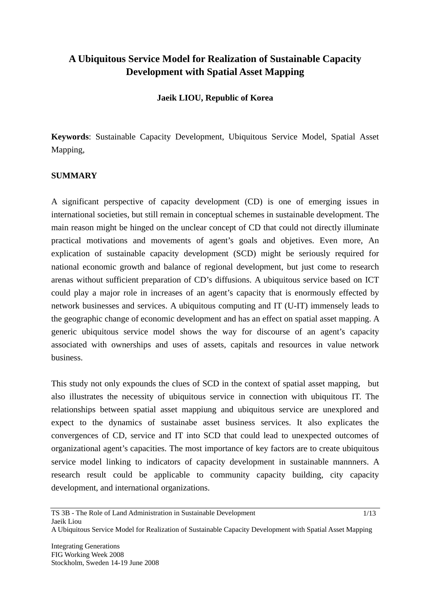# **A Ubiquitous Service Model for Realization of Sustainable Capacity Development with Spatial Asset Mapping**

### **Jaeik LIOU, Republic of Korea**

**Keywords**: Sustainable Capacity Development, Ubiquitous Service Model, Spatial Asset Mapping,

#### **SUMMARY**

A significant perspective of capacity development (CD) is one of emerging issues in international societies, but still remain in conceptual schemes in sustainable development. The main reason might be hinged on the unclear concept of CD that could not directly illuminate practical motivations and movements of agent's goals and objetives. Even more, An explication of sustainable capacity development (SCD) might be seriously required for national economic growth and balance of regional development, but just come to research arenas without sufficient preparation of CD's diffusions. A ubiquitous service based on ICT could play a major role in increases of an agent's capacity that is enormously effected by network businesses and services. A ubiquitous computing and IT (U-IT) immensely leads to the geographic change of economic development and has an effect on spatial asset mapping. A generic ubiquitous service model shows the way for discourse of an agent's capacity associated with ownerships and uses of assets, capitals and resources in value network business.

This study not only expounds the clues of SCD in the context of spatial asset mapping, but also illustrates the necessity of ubiquitous service in connection with ubiquitous IT. The relationships between spatial asset mappiung and ubiquitous service are unexplored and expect to the dynamics of sustainabe asset business services. It also explicates the convergences of CD, service and IT into SCD that could lead to unexpected outcomes of organizational agent's capacities. The most importance of key factors are to create ubiquitous service model linking to indicators of capacity development in sustainable mannners. A research result could be applicable to community capacity building, city capacity development, and international organizations.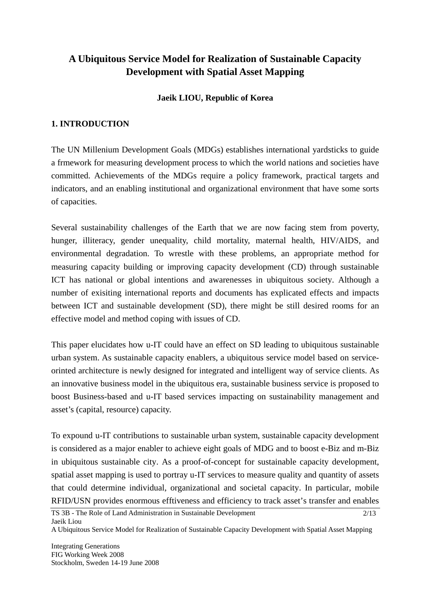# **A Ubiquitous Service Model for Realization of Sustainable Capacity Development with Spatial Asset Mapping**

## **Jaeik LIOU, Republic of Korea**

## **1. INTRODUCTION**

The UN Millenium Development Goals (MDGs) establishes international yardsticks to guide a frmework for measuring development process to which the world nations and societies have committed. Achievements of the MDGs require a policy framework, practical targets and indicators, and an enabling institutional and organizational environment that have some sorts of capacities.

Several sustainability challenges of the Earth that we are now facing stem from poverty, hunger, illiteracy, gender unequality, child mortality, maternal health, HIV/AIDS, and environmental degradation. To wrestle with these problems, an appropriate method for measuring capacity building or improving capacity development (CD) through sustainable ICT has national or global intentions and awarenesses in ubiquitous society. Although a number of exisiting international reports and documents has explicated effects and impacts between ICT and sustainable development (SD), there might be still desired rooms for an effective model and method coping with issues of CD.

This paper elucidates how u-IT could have an effect on SD leading to ubiquitous sustainable urban system. As sustainable capacity enablers, a ubiquitous service model based on serviceorinted architecture is newly designed for integrated and intelligent way of service clients. As an innovative business model in the ubiquitous era, sustainable business service is proposed to boost Business-based and u-IT based services impacting on sustainability management and asset's (capital, resource) capacity.

To expound u-IT contributions to sustainable urban system, sustainable capacity development is considered as a major enabler to achieve eight goals of MDG and to boost e-Biz and m-Biz in ubiquitous sustainable city. As a proof-of-concept for sustainable capacity development, spatial asset mapping is used to portray u-IT services to measure quality and quantity of assets that could determine individual, organizational and societal capacity. In particular, mobile RFID/USN provides enormous efftiveness and efficiency to track asset's transfer and enables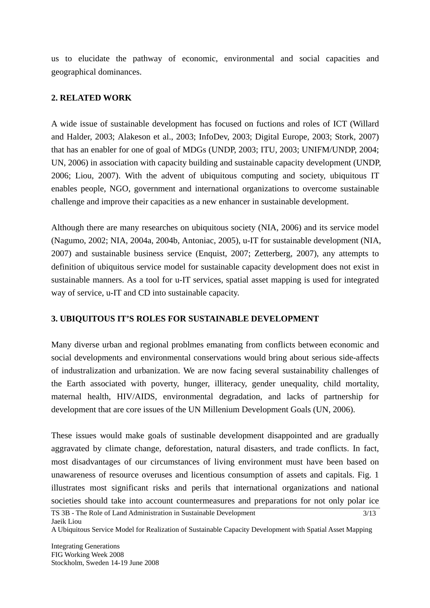us to elucidate the pathway of economic, environmental and social capacities and geographical dominances.

### **2. RELATED WORK**

A wide issue of sustainable development has focused on fuctions and roles of ICT (Willard and Halder, 2003; Alakeson et al., 2003; InfoDev, 2003; Digital Europe, 2003; Stork, 2007) that has an enabler for one of goal of MDGs (UNDP, 2003; ITU, 2003; UNIFM/UNDP, 2004; UN, 2006) in association with capacity building and sustainable capacity development (UNDP, 2006; Liou, 2007). With the advent of ubiquitous computing and society, ubiquitous IT enables people, NGO, government and international organizations to overcome sustainable challenge and improve their capacities as a new enhancer in sustainable development.

Although there are many researches on ubiquitous society (NIA, 2006) and its service model (Nagumo, 2002; NIA, 2004a, 2004b, Antoniac, 2005), u-IT for sustainable development (NIA, 2007) and sustainable business service (Enquist, 2007; Zetterberg, 2007), any attempts to definition of ubiquitous service model for sustainable capacity development does not exist in sustainable manners. As a tool for u-IT services, spatial asset mapping is used for integrated way of service, u-IT and CD into sustainable capacity.

## **3. UBIQUITOUS IT'S ROLES FOR SUSTAINABLE DEVELOPMENT**

Many diverse urban and regional problmes emanating from conflicts between economic and social developments and environmental conservations would bring about serious side-affects of industralization and urbanization. We are now facing several sustainability challenges of the Earth associated with poverty, hunger, illiteracy, gender unequality, child mortality, maternal health, HIV/AIDS, environmental degradation, and lacks of partnership for development that are core issues of the UN Millenium Development Goals (UN, 2006).

These issues would make goals of sustinable development disappointed and are gradually aggravated by climate change, deforestation, natural disasters, and trade conflicts. In fact, most disadvantages of our circumstances of living environment must have been based on unawareness of resource overuses and licentious consumption of assets and capitals. Fig. 1 illustrates most significant risks and perils that international organizations and national societies should take into account countermeasures and preparations for not only polar ice

A Ubiquitous Service Model for Realization of Sustainable Capacity Development with Spatial Asset Mapping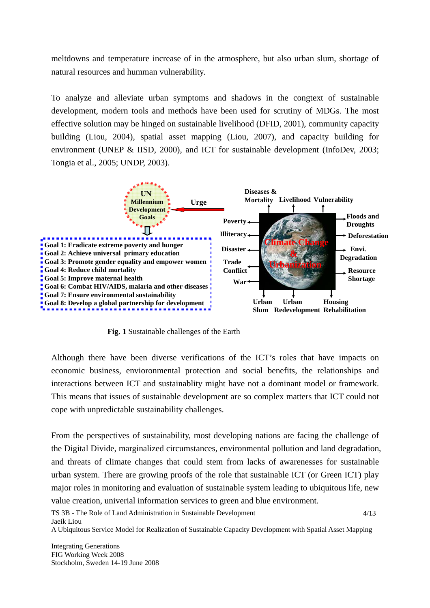meltdowns and temperature increase of in the atmosphere, but also urban slum, shortage of natural resources and humman vulnerability.

To analyze and alleviate urban symptoms and shadows in the congtext of sustainable development, modern tools and methods have been used for scrutiny of MDGs. The most effective solution may be hinged on sustainable livelihood (DFID, 2001), community capacity building (Liou, 2004), spatial asset mapping (Liou, 2007), and capacity building for environment (UNEP & IISD, 2000), and ICT for sustainable development (InfoDev, 2003; Tongia et al., 2005; UNDP, 2003).



**Fig. 1** Sustainable challenges of the Earth

Although there have been diverse verifications of the ICT's roles that have impacts on economic business, envioronmental protection and social benefits, the relationships and interactions between ICT and sustainablity might have not a dominant model or framework. This means that issues of sustainable development are so complex matters that ICT could not cope with unpredictable sustainability challenges.

From the perspectives of sustainability, most developing nations are facing the challenge of the Digital Divide, marginalized circumstances, environmental pollution and land degradation, and threats of climate changes that could stem from lacks of awarenesses for sustainable urban system. There are growing proofs of the role that sustainable ICT (or Green ICT) play major roles in monitoring and evaluation of sustainable system leading to ubiquitous life, new value creation, univerial information services to green and blue environment.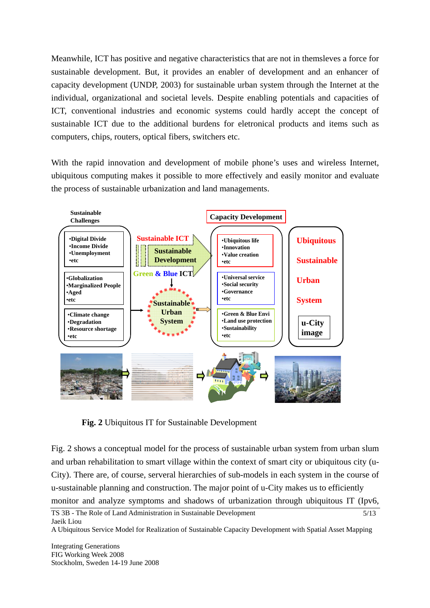Meanwhile, ICT has positive and negative characteristics that are not in themsleves a force for sustainable development. But, it provides an enabler of development and an enhancer of capacity development (UNDP, 2003) for sustainable urban system through the Internet at the individual, organizational and societal levels. Despite enabling potentials and capacities of ICT, conventional industries and economic systems could hardly accept the concept of sustainable ICT due to the additional burdens for eletronical products and items such as computers, chips, routers, optical fibers, switchers etc.

With the rapid innovation and development of mobile phone's uses and wireless Internet, ubiquitous computing makes it possible to more effectively and easily monitor and evaluate the process of sustainable urbanization and land managements.



**Fig. 2** Ubiquitous IT for Sustainable Development

Fig. 2 shows a conceptual model for the process of sustainable urban system from urban slum and urban rehabilitation to smart village within the context of smart city or ubiquitous city (u-City). There are, of course, serveral hierarchies of sub-models in each system in the course of u-sustainable planning and construction. The major point of u-City makes us to efficiently monitor and analyze symptoms and shadows of urbanization through ubiquitous IT (Ipv6,

A Ubiquitous Service Model for Realization of Sustainable Capacity Development with Spatial Asset Mapping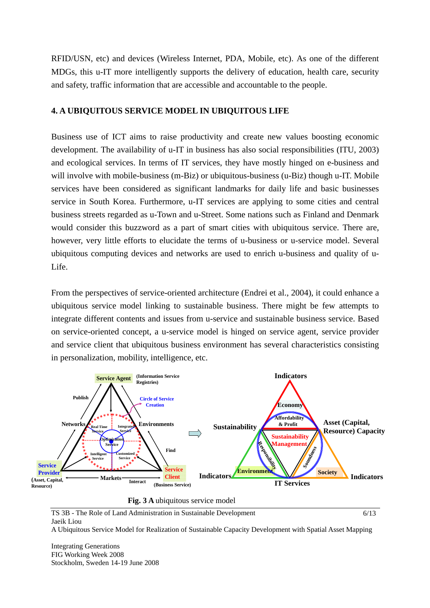RFID/USN, etc) and devices (Wireless Internet, PDA, Mobile, etc). As one of the different MDGs, this u-IT more intelligently supports the delivery of education, health care, security and safety, traffic information that are accessible and accountable to the people.

#### **4. A UBIQUITOUS SERVICE MODEL IN UBIQUITOUS LIFE**

Business use of ICT aims to raise productivity and create new values boosting economic development. The availability of u-IT in business has also social responsibilities (ITU, 2003) and ecological services. In terms of IT services, they have mostly hinged on e-business and will involve with mobile-business (m-Biz) or ubiquitous-business (u-Biz) though u-IT. Mobile services have been considered as significant landmarks for daily life and basic businesses service in South Korea. Furthermore, u-IT services are applying to some cities and central business streets regarded as u-Town and u-Street. Some nations such as Finland and Denmark would consider this buzzword as a part of smart cities with ubiquitous service. There are, however, very little efforts to elucidate the terms of u-business or u-service model. Several ubiquitous computing devices and networks are used to enrich u-business and quality of u-Life.

From the perspectives of service-oriented architecture (Endrei et al., 2004), it could enhance a ubiquitous service model linking to sustainable business. There might be few attempts to integrate different contents and issues from u-service and sustainable business service. Based on service-oriented concept, a u-service model is hinged on service agent, service provider and service client that ubiquitous business environment has several characteristics consisting in personalization, mobility, intelligence, etc.





TS 3B - The Role of Land Administration in Sustainable Development Jaeik Liou 6/13

A Ubiquitous Service Model for Realization of Sustainable Capacity Development with Spatial Asset Mapping

Integrating Generations FIG Working Week 2008 Stockholm, Sweden 14-19 June 2008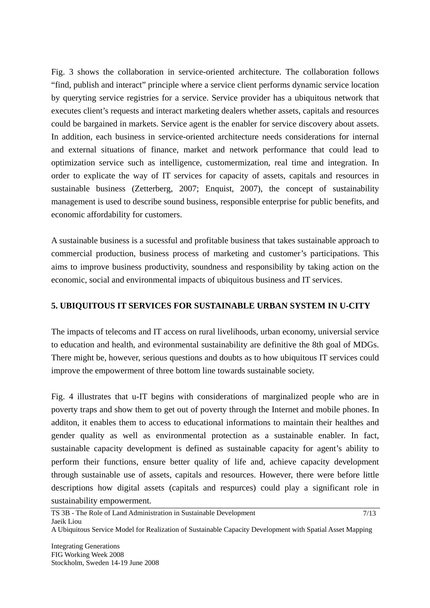Fig. 3 shows the collaboration in service-oriented architecture. The collaboration follows "find, publish and interact" principle where a service client performs dynamic service location by queryting service registries for a service. Service provider has a ubiquitous network that executes client's requests and interact marketing dealers whether assets, capitals and resources could be bargained in markets. Service agent is the enabler for service discovery about assets. In addition, each business in service-oriented architecture needs considerations for internal and external situations of finance, market and network performance that could lead to optimization service such as intelligence, customermization, real time and integration. In order to explicate the way of IT services for capacity of assets, capitals and resources in sustainable business (Zetterberg, 2007; Enquist, 2007), the concept of sustainability management is used to describe sound business, responsible enterprise for public benefits, and economic affordability for customers.

A sustainable business is a sucessful and profitable business that takes sustainable approach to commercial production, business process of marketing and customer's participations. This aims to improve business productivity, soundness and responsibility by taking action on the economic, social and environmental impacts of ubiquitous business and IT services.

## **5. UBIQUITOUS IT SERVICES FOR SUSTAINABLE URBAN SYSTEM IN U-CITY**

The impacts of telecoms and IT access on rural livelihoods, urban economy, universial service to education and health, and evironmental sustainability are definitive the 8th goal of MDGs. There might be, however, serious questions and doubts as to how ubiquitous IT services could improve the empowerment of three bottom line towards sustainable society.

Fig. 4 illustrates that u-IT begins with considerations of marginalized people who are in poverty traps and show them to get out of poverty through the Internet and mobile phones. In additon, it enables them to access to educational informations to maintain their healthes and gender quality as well as environmental protection as a sustainable enabler. In fact, sustainable capacity development is defined as sustainable capacity for agent's ability to perform their functions, ensure better quality of life and, achieve capacity development through sustainable use of assets, capitals and resources. However, there were before little descriptions how digital assets (capitals and respurces) could play a significant role in sustainability empowerment.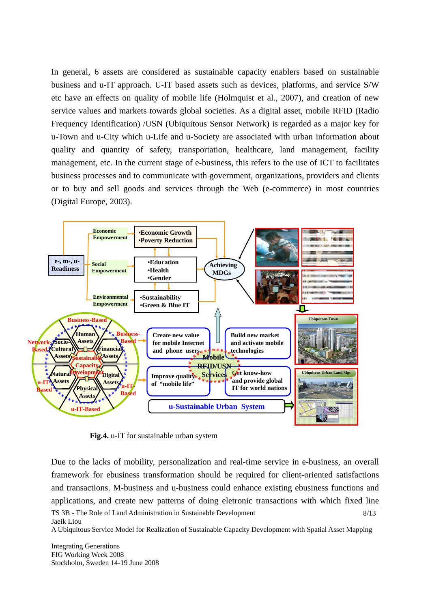In general, 6 assets are considered as sustainable capacity enablers based on sustainable business and u-IT approach. U-IT based assets such as devices, platforms, and service S/W etc have an effects on quality of mobile life (Holmquist et al., 2007), and creation of new service values and markets towards global societies. As a digital asset, mobile RFID (Radio Frequency Identification) /USN (Ubiquitous Sensor Network) is regarded as a major key for u-Town and u-City which u-Life and u-Society are associated with urban information about quality and quantity of safety, transportation, healthcare, land management, facility management, etc. In the current stage of e-business, this refers to the use of ICT to facilitates business processes and to communicate with government, organizations, providers and clients or to buy and sell goods and services through the Web (e-commerce) in most countries (Digital Europe, 2003).



**Fig.4.** u-IT for sustainable urban system

Due to the lacks of mobility, personalization and real-time service in e-business, an overall framework for ebusiness transformation should be required for client-oriented satisfactions and transactions. M-business and u-business could enhance existing ebusiness functions and applications, and create new patterns of doing eletronic transactions with which fixed line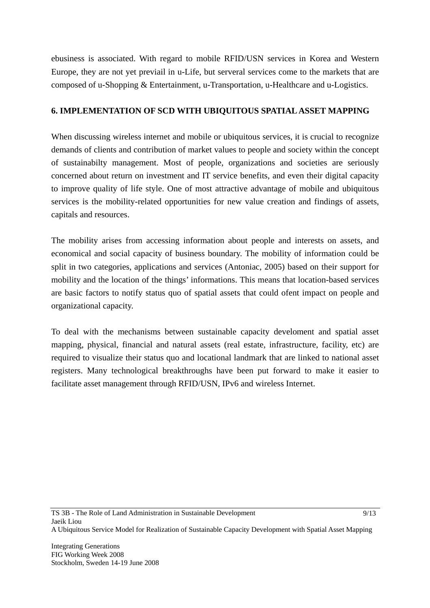ebusiness is associated. With regard to mobile RFID/USN services in Korea and Western Europe, they are not yet previail in u-Life, but serveral services come to the markets that are composed of u-Shopping & Entertainment, u-Transportation, u-Healthcare and u-Logistics.

## **6. IMPLEMENTATION OF SCD WITH UBIQUITOUS SPATIAL ASSET MAPPING**

When discussing wireless internet and mobile or ubiquitous services, it is crucial to recognize demands of clients and contribution of market values to people and society within the concept of sustainabilty management. Most of people, organizations and societies are seriously concerned about return on investment and IT service benefits, and even their digital capacity to improve quality of life style. One of most attractive advantage of mobile and ubiquitous services is the mobility-related opportunities for new value creation and findings of assets, capitals and resources.

The mobility arises from accessing information about people and interests on assets, and economical and social capacity of business boundary. The mobility of information could be split in two categories, applications and services (Antoniac, 2005) based on their support for mobility and the location of the things' informations. This means that location-based services are basic factors to notify status quo of spatial assets that could ofent impact on people and organizational capacity.

To deal with the mechanisms between sustainable capacity develoment and spatial asset mapping, physical, financial and natural assets (real estate, infrastructure, facility, etc) are required to visualize their status quo and locational landmark that are linked to national asset registers. Many technological breakthroughs have been put forward to make it easier to facilitate asset management through RFID/USN, IPv6 and wireless Internet.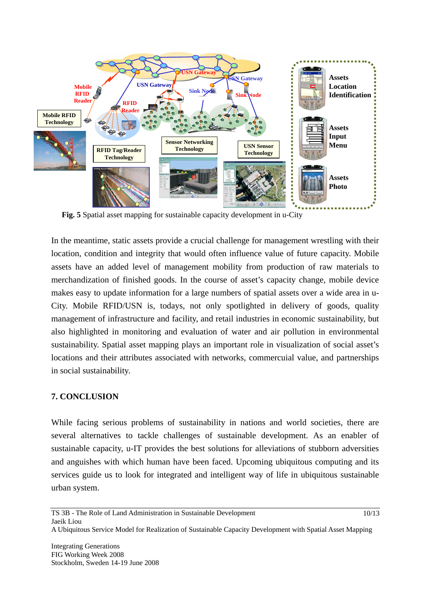

**Fig. 5** Spatial asset mapping for sustainable capacity development in u-City

In the meantime, static assets provide a crucial challenge for management wrestling with their location, condition and integrity that would often influence value of future capacity. Mobile assets have an added level of management mobility from production of raw materials to merchandization of finished goods. In the course of asset's capacity change, mobile device makes easy to update information for a large numbers of spatial assets over a wide area in u-City. Mobile RFID/USN is, todays, not only spotlighted in delivery of goods, quality management of infrastructure and facility, and retail industries in economic sustainability, but also highlighted in monitoring and evaluation of water and air pollution in environmental sustainability. Spatial asset mapping plays an important role in visualization of social asset's locations and their attributes associated with networks, commercuial value, and partnerships in social sustainability.

## **7. CONCLUSION**

While facing serious problems of sustainability in nations and world societies, there are several alternatives to tackle challenges of sustainable development. As an enabler of sustainable capacity, u-IT provides the best solutions for alleviations of stubborn adversities and anguishes with which human have been faced. Upcoming ubiquitous computing and its services guide us to look for integrated and intelligent way of life in ubiquitous sustainable urban system.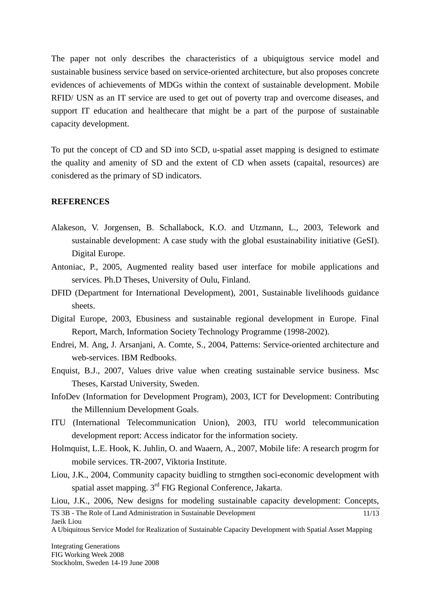The paper not only describes the characteristics of a ubiquigtous service model and sustainable business service based on service-oriented architecture, but also proposes concrete evidences of achievements of MDGs within the context of sustainable development. Mobile RFID/ USN as an IT service are used to get out of poverty trap and overcome diseases, and support IT education and healthecare that might be a part of the purpose of sustainable capacity development.

To put the concept of CD and SD into SCD, u-spatial asset mapping is designed to estimate the quality and amenity of SD and the extent of CD when assets (capaital, resources) are conisdered as the primary of SD indicators.

#### **REFERENCES**

- Alakeson, V. Jorgensen, B. Schallabock, K.O. and Utzmann, L., 2003, Telework and sustainable development: A case study with the global esustainability initiative (GeSI). Digital Europe.
- Antoniac, P., 2005, Augmented reality based user interface for mobile applications and services. Ph.D Theses, University of Oulu, Finland.
- DFID (Department for International Development), 2001, Sustainable livelihoods guidance sheets.
- Digital Europe, 2003, Ebusiness and sustainable regional development in Europe. Final Report, March, Information Society Technology Programme (1998-2002).
- Endrei, M. Ang, J. Arsanjani, A. Comte, S., 2004, Patterns: Service-oriented architecture and web-services. IBM Redbooks.
- Enquist, B.J., 2007, Values drive value when creating sustainable service business. Msc Theses, Karstad University, Sweden.
- InfoDev (Information for Development Program), 2003, ICT for Development: Contributing the Millennium Development Goals.
- ITU (International Telecommunication Union), 2003, ITU world telecommunication development report: Access indicator for the information society.
- Holmquist, L.E. Hook, K. Juhlin, O. and Waaern, A., 2007, Mobile life: A research progrm for mobile services. TR-2007, Viktoria Institute.
- Liou, J.K., 2004, Community capacity buidling to strngthen soci-economic development with spatial asset mapping.  $3<sup>rd</sup>$  FIG Regional Conference, Jakarta.

Liou, J.K., 2006, New designs for modeling sustainable capacity development: Concepts,

TS 3B - The Role of Land Administration in Sustainable Development Jaeik Liou 11/13

A Ubiquitous Service Model for Realization of Sustainable Capacity Development with Spatial Asset Mapping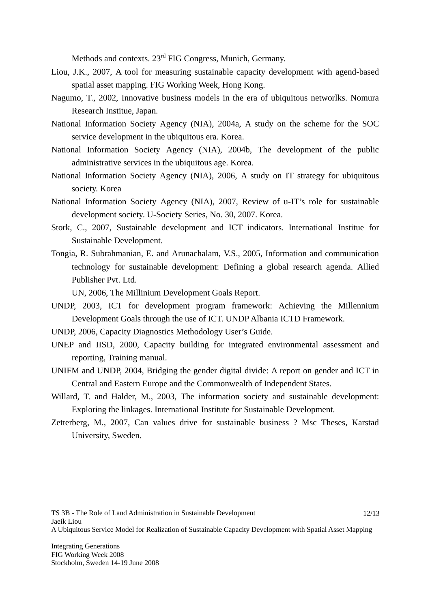Methods and contexts. 23<sup>rd</sup> FIG Congress, Munich, Germany.

- Liou, J.K., 2007, A tool for measuring sustainable capacity development with agend-based spatial asset mapping. FIG Working Week, Hong Kong.
- Nagumo, T., 2002, Innovative business models in the era of ubiquitous networlks. Nomura Research Institue, Japan.
- National Information Society Agency (NIA), 2004a, A study on the scheme for the SOC service development in the ubiquitous era. Korea.
- National Information Society Agency (NIA), 2004b, The development of the public administrative services in the ubiquitous age. Korea.
- National Information Society Agency (NIA), 2006, A study on IT strategy for ubiquitous society. Korea
- National Information Society Agency (NIA), 2007, Review of u-IT's role for sustainable development society. U-Society Series, No. 30, 2007. Korea.
- Stork, C., 2007, Sustainable development and ICT indicators. International Institue for Sustainable Development.
- Tongia, R. Subrahmanian, E. and Arunachalam, V.S., 2005, Information and communication technology for sustainable development: Defining a global research agenda. Allied Publisher Pvt. Ltd.

UN, 2006, The Millinium Development Goals Report.

- UNDP, 2003, ICT for development program framework: Achieving the Millennium Development Goals through the use of ICT. UNDP Albania ICTD Framework.
- UNDP, 2006, Capacity Diagnostics Methodology User's Guide.
- UNEP and IISD, 2000, Capacity building for integrated environmental assessment and reporting, Training manual.
- UNIFM and UNDP, 2004, Bridging the gender digital divide: A report on gender and ICT in Central and Eastern Europe and the Commonwealth of Independent States.
- Willard, T. and Halder, M., 2003, The information society and sustainable development: Exploring the linkages. International Institute for Sustainable Development.
- Zetterberg, M., 2007, Can values drive for sustainable business ? Msc Theses, Karstad University, Sweden.

A Ubiquitous Service Model for Realization of Sustainable Capacity Development with Spatial Asset Mapping